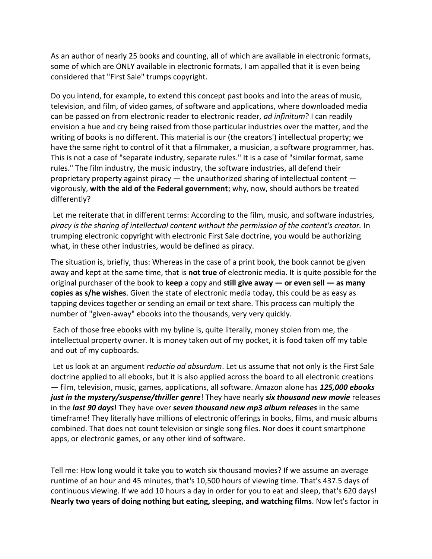As an author of nearly 25 books and counting, all of which are available in electronic formats, some of which are ONLY available in electronic formats, I am appalled that it is even being considered that "First Sale" trumps copyright.

Do you intend, for example, to extend this concept past books and into the areas of music, television, and film, of video games, of software and applications, where downloaded media can be passed on from electronic reader to electronic reader, *ad infinitum*? I can readily envision a hue and cry being raised from those particular industries over the matter, and the writing of books is no different. This material is our (the creators') intellectual property; we have the same right to control of it that a filmmaker, a musician, a software programmer, has. This is not a case of "separate industry, separate rules." It is a case of "similar format, same rules." The film industry, the music industry, the software industries, all defend their proprietary property against piracy ― the unauthorized sharing of intellectual content ― vigorously, **with the aid of the Federal government**; why, now, should authors be treated differently?

Let me reiterate that in different terms: According to the film, music, and software industries, *piracy is the sharing of intellectual content without the permission of the content's creator.* In trumping electronic copyright with electronic First Sale doctrine, you would be authorizing what, in these other industries, would be defined as piracy.

The situation is, briefly, thus: Whereas in the case of a print book, the book cannot be given away and kept at the same time, that is **not true** of electronic media. It is quite possible for the original purchaser of the book to **keep** a copy and **still give away ― or even sell ― as many copies as s/he wishes**. Given the state of electronic media today, this could be as easy as tapping devices together or sending an email or text share. This process can multiply the number of "given-away" ebooks into the thousands, very very quickly.

Each of those free ebooks with my byline is, quite literally, money stolen from me, the intellectual property owner. It is money taken out of my pocket, it is food taken off my table and out of my cupboards.

Let us look at an argument *reductio ad absurdum*. Let us assume that not only is the First Sale doctrine applied to all ebooks, but it is also applied across the board to all electronic creations ― film, television, music, games, applications, all software. Amazon alone has *125,000 ebooks just in the mystery/suspense/thriller genre*! They have nearly *six thousand new movie* releases in the *last 90 days*! They have over *seven thousand new mp3 album releases* in the same timeframe! They literally have millions of electronic offerings in books, films, and music albums combined. That does not count television or single song files. Nor does it count smartphone apps, or electronic games, or any other kind of software.

Tell me: How long would it take you to watch six thousand movies? If we assume an average runtime of an hour and 45 minutes, that's 10,500 hours of viewing time. That's 437.5 days of continuous viewing. If we add 10 hours a day in order for you to eat and sleep, that's 620 days! **Nearly two years of doing nothing but eating, sleeping, and watching films**. Now let's factor in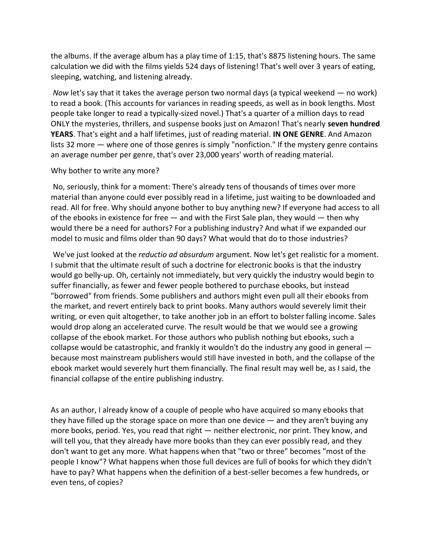the albums. If the average album has a play time of 1:15, that's 8875 listening hours. The same calculation we did with the films yields 524 days of listening! That's well over 3 years of eating, sleeping, watching, and listening already.

*Now* let's say that it takes the average person two normal days (a typical weekend — no work) to read a book. (This accounts for variances in reading speeds, as well as in book lengths. Most people take longer to read a typically-sized novel.) That's a quarter of a million days to read ONLY the mysteries, thrillers, and suspense books just on Amazon! That's nearly **seven hundred YEARS**. That's eight and a half lifetimes, just of reading material. **IN ONE GENRE**. And Amazon lists 32 more ― where one of those genres is simply "nonfiction." If the mystery genre contains an average number per genre, that's over 23,000 years' worth of reading material.

## Why bother to write any more?

No, seriously, think for a moment: There's already tens of thousands of times over more material than anyone could ever possibly read in a lifetime, just waiting to be downloaded and read. All for free. Why should anyone bother to buy anything new? If everyone had access to all of the ebooks in existence for free  $-$  and with the First Sale plan, they would  $-$  then why would there be a need for authors? For a publishing industry? And what if we expanded our model to music and films older than 90 days? What would that do to those industries?

We've just looked at the *reductio ad absurdum* argument. Now let's get realistic for a moment. I submit that the ultimate result of such a doctrine for electronic books is that the industry would go belly-up. Oh, certainly not immediately, but very quickly the industry would begin to suffer financially, as fewer and fewer people bothered to purchase ebooks, but instead "borrowed" from friends. Some publishers and authors might even pull all their ebooks from the market, and revert entirely back to print books. Many authors would severely limit their writing, or even quit altogether, to take another job in an effort to bolster falling income. Sales would drop along an accelerated curve. The result would be that we would see a growing collapse of the ebook market. For those authors who publish nothing but ebooks, such a collapse would be catastrophic, and frankly it wouldn't do the industry any good in general ― because most mainstream publishers would still have invested in both, and the collapse of the ebook market would severely hurt them financially. The final result may well be, as I said, the financial collapse of the entire publishing industry.

As an author, I already know of a couple of people who have acquired so many ebooks that they have filled up the storage space on more than one device ― and they aren't buying any more books, period. Yes, you read that right — neither electronic, nor print. They know, and will tell you, that they already have more books than they can ever possibly read, and they don't want to get any more. What happens when that "two or three" becomes "most of the people I know"? What happens when those full devices are full of books for which they didn't have to pay? What happens when the definition of a best-seller becomes a few hundreds, or even tens, of copies?